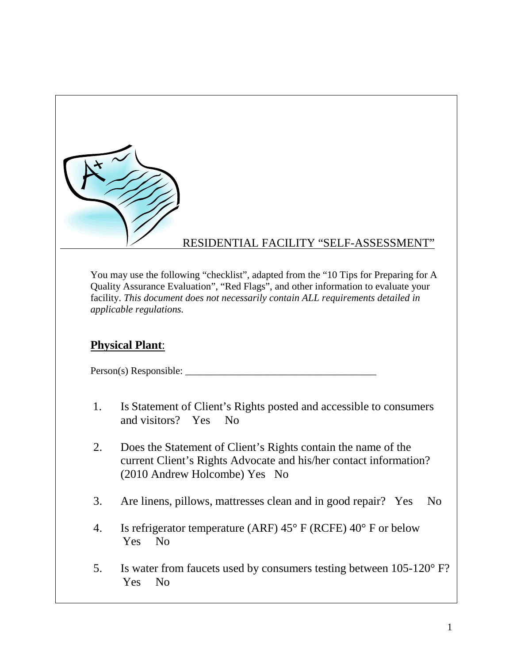

### RESIDENTIAL FACILITY "SELF-ASSESSMENT"

You may use the following "checklist", adapted from the "10 Tips for Preparing for A Quality Assurance Evaluation", "Red Flags", and other information to evaluate your facility. *This document does not necessarily contain ALL requirements detailed in applicable regulations.* 

### **Physical Plant**:

Person(s) Responsible: \_\_\_\_\_\_\_\_\_\_\_\_\_\_\_\_\_\_\_\_\_\_\_\_\_\_\_\_\_\_\_\_\_\_\_\_\_\_

- 1. Is Statement of Client's Rights posted and accessible to consumers and visitors? Yes No
- 2. Does the Statement of Client's Rights contain the name of the current Client's Rights Advocate and his/her contact information? (2010 Andrew Holcombe) Yes No
- 3. Are linens, pillows, mattresses clean and in good repair? Yes No
- 4. Is refrigerator temperature (ARF) 45° F (RCFE) 40° F or below Yes No
- 5. Is water from faucets used by consumers testing between 105-120° F? Yes No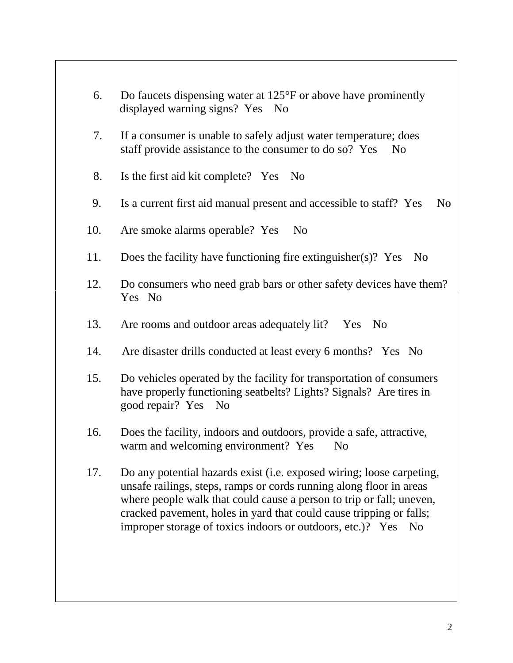- 6. Do faucets dispensing water at 125°F or above have prominently displayed warning signs? Yes No
- 7. If a consumer is unable to safely adjust water temperature; does staff provide assistance to the consumer to do so? Yes No
- 8. Is the first aid kit complete? Yes No
- 9. Is a current first aid manual present and accessible to staff? Yes No
- 10. Are smoke alarms operable? Yes No
- 11. Does the facility have functioning fire extinguisher(s)? Yes No
- 12. Do consumers who need grab bars or other safety devices have them? Yes No
- 13. Are rooms and outdoor areas adequately lit? Yes No
- 14. Are disaster drills conducted at least every 6 months? Yes No
- 15. Do vehicles operated by the facility for transportation of consumers have properly functioning seatbelts? Lights? Signals? Are tires in good repair? Yes No
- 16. Does the facility, indoors and outdoors, provide a safe, attractive, warm and welcoming environment? Yes No
- 17. Do any potential hazards exist (i.e. exposed wiring; loose carpeting, unsafe railings, steps, ramps or cords running along floor in areas where people walk that could cause a person to trip or fall; uneven, cracked pavement, holes in yard that could cause tripping or falls; improper storage of toxics indoors or outdoors, etc.)? Yes No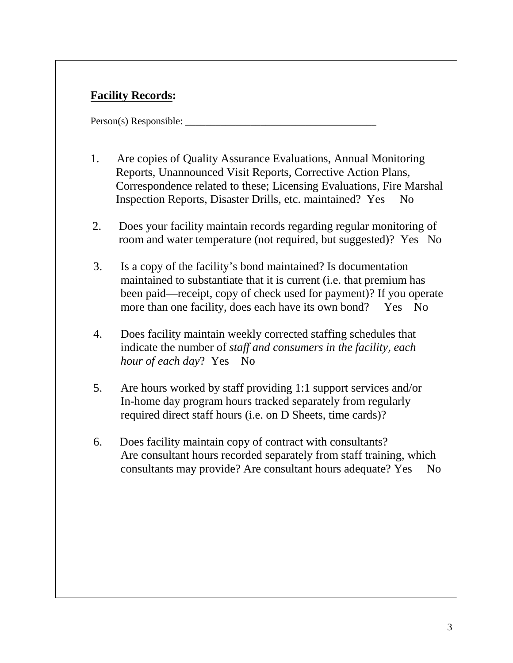# **Facility Records:**

- 1. Are copies of Quality Assurance Evaluations, Annual Monitoring Reports, Unannounced Visit Reports, Corrective Action Plans, Correspondence related to these; Licensing Evaluations, Fire Marshal Inspection Reports, Disaster Drills, etc. maintained? Yes No
- 2. Does your facility maintain records regarding regular monitoring of room and water temperature (not required, but suggested)? Yes No
- 3. Is a copy of the facility's bond maintained? Is documentation maintained to substantiate that it is current (i.e. that premium has been paid—receipt, copy of check used for payment)? If you operate more than one facility, does each have its own bond? Yes No
- 4. Does facility maintain weekly corrected staffing schedules that indicate the number of *staff and consumers in the facility, each hour of each day*? Yes No
- 5. Are hours worked by staff providing 1:1 support services and/or In-home day program hours tracked separately from regularly required direct staff hours (i.e. on D Sheets, time cards)?
- 6. Does facility maintain copy of contract with consultants? Are consultant hours recorded separately from staff training, which consultants may provide? Are consultant hours adequate? Yes No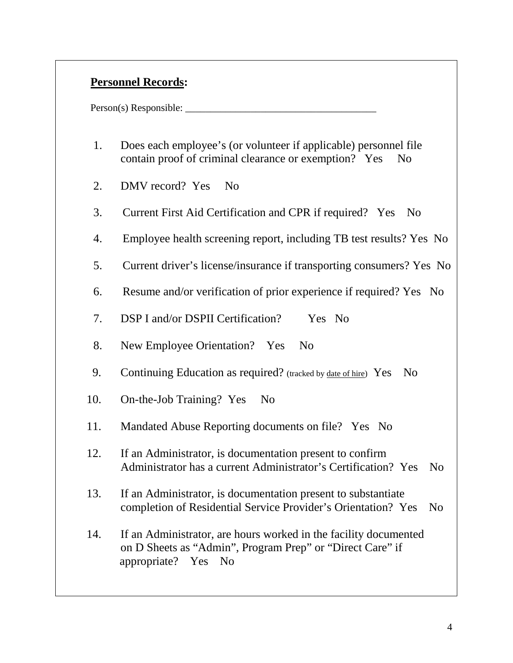### **Personnel Records:**

- 1. Does each employee's (or volunteer if applicable) personnel file contain proof of criminal clearance or exemption? Yes No
- 2. DMV record? Yes No
- 3. Current First Aid Certification and CPR if required? Yes No
- 4. Employee health screening report, including TB test results? Yes No
- 5. Current driver's license/insurance if transporting consumers? Yes No
- 6. Resume and/or verification of prior experience if required? Yes No
- 7. DSP I and/or DSPII Certification? Yes No
- 8. New Employee Orientation? Yes No
- 9. Continuing Education as required? (tracked by date of hire) Yes No
- 10. On-the-Job Training? Yes No
- 11. Mandated Abuse Reporting documents on file? Yes No
- 12. If an Administrator, is documentation present to confirm Administrator has a current Administrator's Certification? Yes No
- 13. If an Administrator, is documentation present to substantiate completion of Residential Service Provider's Orientation? Yes No
- 14. If an Administrator, are hours worked in the facility documented on D Sheets as "Admin", Program Prep" or "Direct Care" if appropriate? Yes No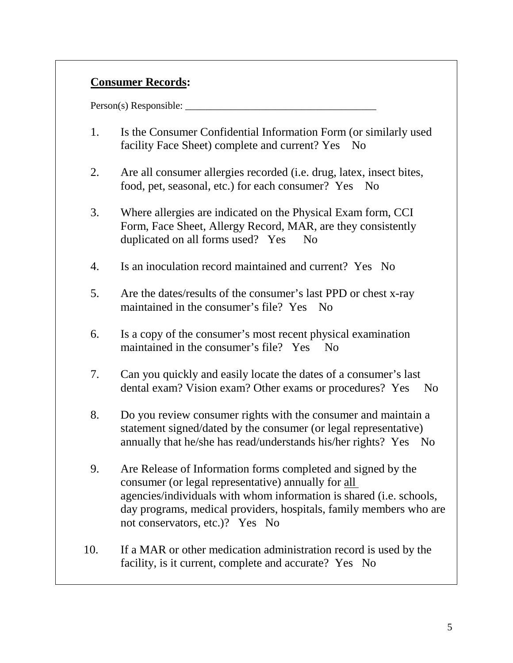# **Consumer Records:**

- 1. Is the Consumer Confidential Information Form (or similarly used facility Face Sheet) complete and current? Yes No
- 2. Are all consumer allergies recorded (i.e. drug, latex, insect bites, food, pet, seasonal, etc.) for each consumer? Yes No
- 3. Where allergies are indicated on the Physical Exam form, CCI Form, Face Sheet, Allergy Record, MAR, are they consistently duplicated on all forms used? Yes No
- 4. Is an inoculation record maintained and current? Yes No
- 5. Are the dates/results of the consumer's last PPD or chest x-ray maintained in the consumer's file? Yes No
- 6. Is a copy of the consumer's most recent physical examination maintained in the consumer's file? Yes No
- 7. Can you quickly and easily locate the dates of a consumer's last dental exam? Vision exam? Other exams or procedures? Yes No
- 8. Do you review consumer rights with the consumer and maintain a statement signed/dated by the consumer (or legal representative) annually that he/she has read/understands his/her rights? Yes No
- 9. Are Release of Information forms completed and signed by the consumer (or legal representative) annually for all agencies/individuals with whom information is shared (i.e. schools, day programs, medical providers, hospitals, family members who are not conservators, etc.)? Yes No
- 10. If a MAR or other medication administration record is used by the facility, is it current, complete and accurate? Yes No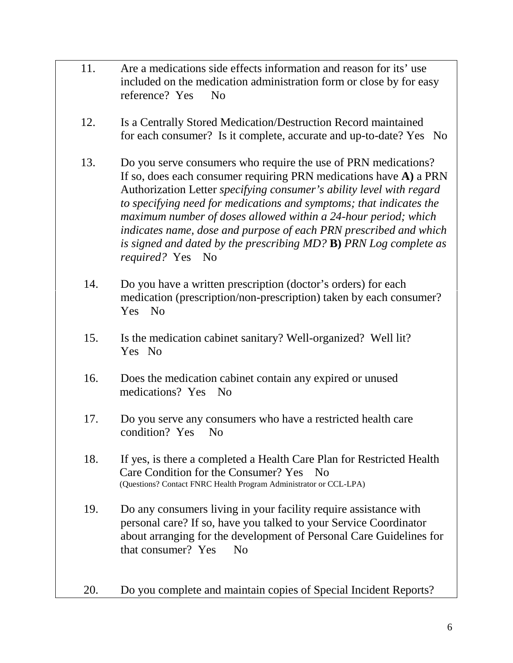- 11. Are a medications side effects information and reason for its' use included on the medication administration form or close by for easy reference? Yes No
- 12. Is a Centrally Stored Medication/Destruction Record maintained for each consumer? Is it complete, accurate and up-to-date? Yes No
- 13. Do you serve consumers who require the use of PRN medications? If so, does each consumer requiring PRN medications have **A)** a PRN Authorization Letter *specifying consumer's ability level with regard to specifying need for medications and symptoms; that indicates the maximum number of doses allowed within a 24-hour period; which indicates name, dose and purpose of each PRN prescribed and which is signed and dated by the prescribing MD?* **B)** *PRN Log complete as required?* Yes No
- 14. Do you have a written prescription (doctor's orders) for each medication (prescription/non-prescription) taken by each consumer? Yes No
- 15. Is the medication cabinet sanitary? Well-organized? Well lit? Yes No
- 16. Does the medication cabinet contain any expired or unused medications? Yes No
- 17. Do you serve any consumers who have a restricted health care condition? Yes No
- 18. If yes, is there a completed a Health Care Plan for Restricted Health Care Condition for the Consumer? Yes No<br>(Questions? Contact FNRC Health Program Administrator or CCL-LPA)
- 19. Do any consumers living in your facility require assistance with personal care? If so, have you talked to your Service Coordinator about arranging for the development of Personal Care Guidelines for that consumer? Yes No
- 20. Do you complete and maintain copies of Special Incident Reports?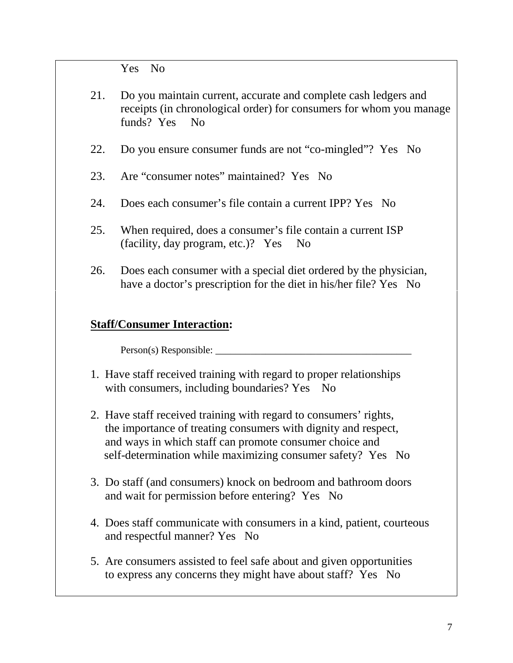Yes No

- 21. Do you maintain current, accurate and complete cash ledgers and receipts (in chronological order) for consumers for whom you manage funds? Yes No
- 22. Do you ensure consumer funds are not "co-mingled"? Yes No
- 23. Are "consumer notes" maintained? Yes No
- 24. Does each consumer's file contain a current IPP? Yes No
- 25. When required, does a consumer's file contain a current ISP (facility, day program, etc.)? Yes No
- 26. Does each consumer with a special diet ordered by the physician, have a doctor's prescription for the diet in his/her file? Yes No

### **Staff/Consumer Interaction:**

- 1. Have staff received training with regard to proper relationships with consumers, including boundaries? Yes No
- 2. Have staff received training with regard to consumers' rights, the importance of treating consumers with dignity and respect, and ways in which staff can promote consumer choice and self-determination while maximizing consumer safety? Yes No
- 3. Do staff (and consumers) knock on bedroom and bathroom doors and wait for permission before entering? Yes No
- 4. Does staff communicate with consumers in a kind, patient, courteous and respectful manner? Yes No
- 5. Are consumers assisted to feel safe about and given opportunities to express any concerns they might have about staff? Yes No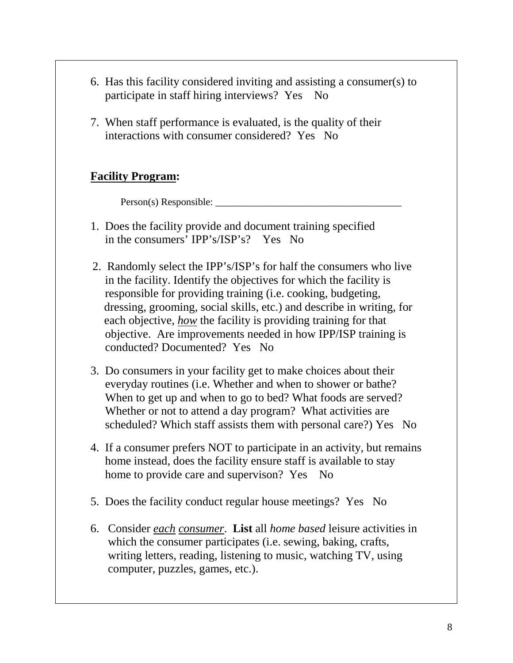- 6. Has this facility considered inviting and assisting a consumer(s) to participate in staff hiring interviews? Yes No
- 7. When staff performance is evaluated, is the quality of their interactions with consumer considered? Yes No

### **Facility Program:**

Person(s) Responsible: \_\_\_\_\_\_\_\_\_\_\_\_\_\_\_\_\_\_\_\_\_\_\_\_\_\_\_\_\_\_\_\_\_\_\_\_\_

- 1. Does the facility provide and document training specified in the consumers' IPP's/ISP's? Yes No
- 2. Randomly select the IPP's/ISP's for half the consumers who live in the facility. Identify the objectives for which the facility is responsible for providing training (i.e. cooking, budgeting, dressing, grooming, social skills, etc.) and describe in writing, for each objective, *how* the facility is providing training for that objective. Are improvements needed in how IPP/ISP training is conducted? Documented? Yes No
- 3. Do consumers in your facility get to make choices about their everyday routines (i.e. Whether and when to shower or bathe? When to get up and when to go to bed? What foods are served? Whether or not to attend a day program? What activities are scheduled? Which staff assists them with personal care?) Yes No
- 4. If a consumer prefers NOT to participate in an activity, but remains home instead, does the facility ensure staff is available to stay home to provide care and supervison? Yes No
- 5. Does the facility conduct regular house meetings? Yes No
- 6. Consider *each consumer*. **List** all *home based* leisure activities in which the consumer participates (i.e. sewing, baking, crafts, writing letters, reading, listening to music, watching TV, using computer, puzzles, games, etc.).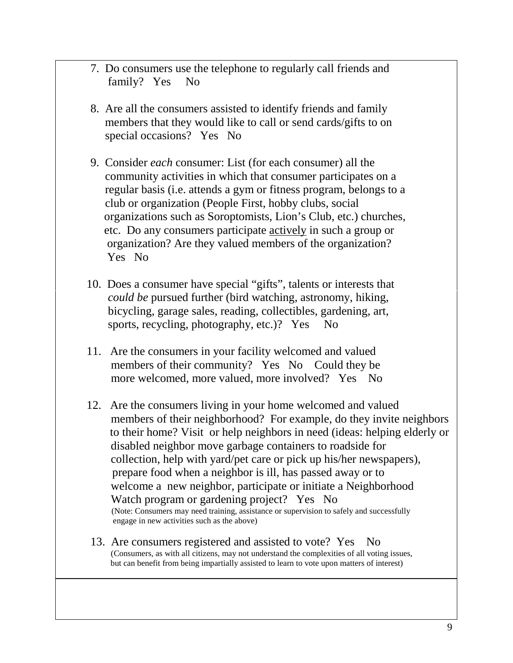- 7. Do consumers use the telephone to regularly call friends and family? Yes No
- 8. Are all the consumers assisted to identify friends and family members that they would like to call or send cards/gifts to on special occasions? Yes No
- 9. Consider *each* consumer: List (for each consumer) all the community activities in which that consumer participates on a regular basis (i.e. attends a gym or fitness program, belongs to a club or organization (People First, hobby clubs, social organizations such as Soroptomists, Lion's Club, etc.) churches, etc. Do any consumers participate actively in such a group or organization? Are they valued members of the organization? Yes No
- 10. Does a consumer have special "gifts", talents or interests that *could be* pursued further (bird watching, astronomy, hiking, bicycling, garage sales, reading, collectibles, gardening, art, sports, recycling, photography, etc.)? Yes No
- 11. Are the consumers in your facility welcomed and valued members of their community? Yes No Could they be more welcomed, more valued, more involved? Yes No
- 12. Are the consumers living in your home welcomed and valued members of their neighborhood? For example, do they invite neighbors to their home? Visit or help neighbors in need (ideas: helping elderly or disabled neighbor move garbage containers to roadside for collection, help with yard/pet care or pick up his/her newspapers), prepare food when a neighbor is ill, has passed away or to welcome a new neighbor, participate or initiate a Neighborhood Watch program or gardening project? Yes No<br>(Note: Consumers may need training, assistance or supervision to safely and successfully engage in new activities such as the above)
- 13. Are consumers registered and assisted to vote? Yes No (Consumers, as with all citizens, may not understand the complexities of all voting issues, but can benefit from being impartially assisted to learn to vote upon matters of interest)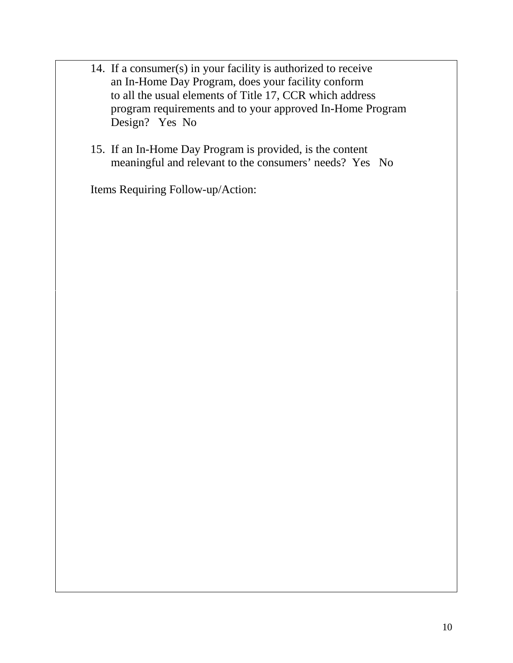- 14. If a consumer(s) in your facility is authorized to receive an In-Home Day Program, does your facility conform to all the usual elements of Title 17, CCR which address program requirements and to your approved In-Home Program Design? Yes No
- 15. If an In-Home Day Program is provided, is the content meaningful and relevant to the consumers' needs? Yes No

Items Requiring Follow-up/Action: